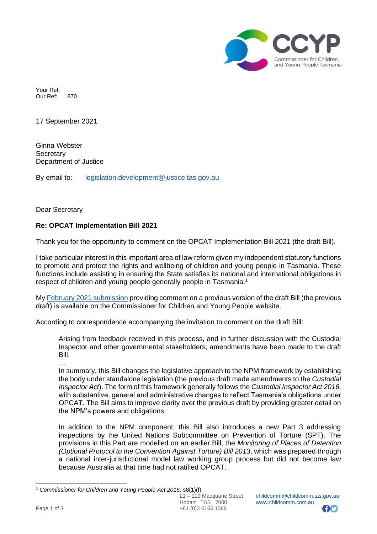

Your Ref: Our Ref: 870

17 September 2021

Ginna Webster **Secretary** Department of Justice

By email to: [legislation.development@justice.tas.gov.au](mailto:legislation.development@justice.tas.gov.au)

Dear Secretary

# **Re: OPCAT Implementation Bill 2021**

Thank you for the opportunity to comment on the OPCAT Implementation Bill 2021 (the draft Bill).

I take particular interest in this important area of law reform given my independent statutory functions to promote and protect the rights and wellbeing of children and young people in Tasmania. These functions include assisting in ensuring the State satisfies its national and international obligations in respect of children and young people generally people in Tasmania.<sup>1</sup>

My [February 2021 submission](https://www.childcomm.tas.gov.au/wp-content/uploads/2021-02-15-FINAL-Submission-OPCAT-NPM-Tasmania.pdf) providing comment on a previous version of the draft Bill (the previous draft) is available on the Commissioner for Children and Young People website.

According to correspondence accompanying the invitation to comment on the draft Bill:

Arising from feedback received in this process, and in further discussion with the Custodial Inspector and other governmental stakeholders, amendments have been made to the draft Bill.

…

In summary, this Bill changes the legislative approach to the NPM framework by establishing the body under standalone legislation (the previous draft made amendments to the *Custodial Inspector Act*). The form of this framework generally follows the *Custodial Inspector Act 2016*, with substantive, general and administrative changes to reflect Tasmania's obligations under OPCAT. The Bill aims to improve clarity over the previous draft by providing greater detail on the NPM's powers and obligations.

In addition to the NPM component, this Bill also introduces a new Part 3 addressing inspections by the United Nations Subcommittee on Prevention of Torture (SPT). The provisions in this Part are modelled on an earlier Bill, the *Monitoring of Places of Detention (Optional Protocol to the Convention Against Torture) Bill 2013*, which was prepared through a national inter-jurisdictional model law working group process but did not become law because Australia at that time had not ratified OPCAT.



<sup>1</sup> *Commissioner for Children and Young People Act 2016*, s8(1)(f)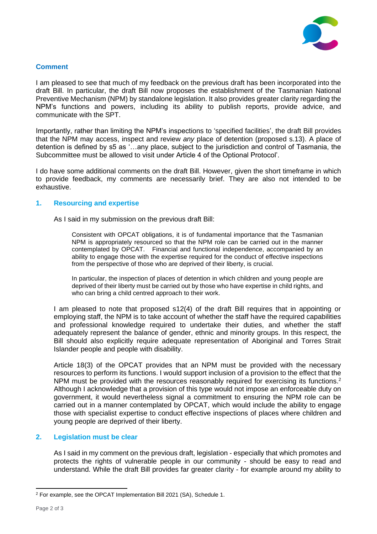

### **Comment**

I am pleased to see that much of my feedback on the previous draft has been incorporated into the draft Bill. In particular, the draft Bill now proposes the establishment of the Tasmanian National Preventive Mechanism (NPM) by standalone legislation. It also provides greater clarity regarding the NPM's functions and powers, including its ability to publish reports, provide advice, and communicate with the SPT.

Importantly, rather than limiting the NPM's inspections to 'specified facilities', the draft Bill provides that the NPM may access, inspect and review *any* place of detention (proposed s.13). A place of detention is defined by s5 as '…any place, subject to the jurisdiction and control of Tasmania, the Subcommittee must be allowed to visit under Article 4 of the Optional Protocol'.

I do have some additional comments on the draft Bill. However, given the short timeframe in which to provide feedback, my comments are necessarily brief. They are also not intended to be exhaustive.

#### **1. Resourcing and expertise**

As I said in my submission on the previous draft Bill:

Consistent with OPCAT obligations, it is of fundamental importance that the Tasmanian NPM is appropriately resourced so that the NPM role can be carried out in the manner contemplated by OPCAT. Financial and functional independence, accompanied by an ability to engage those with the expertise required for the conduct of effective inspections from the perspective of those who are deprived of their liberty, is crucial.

In particular, the inspection of places of detention in which children and young people are deprived of their liberty must be carried out by those who have expertise in child rights, and who can bring a child centred approach to their work.

I am pleased to note that proposed s12(4) of the draft Bill requires that in appointing or employing staff, the NPM is to take account of whether the staff have the required capabilities and professional knowledge required to undertake their duties, and whether the staff adequately represent the balance of gender, ethnic and minority groups. In this respect, the Bill should also explicitly require adequate representation of Aboriginal and Torres Strait Islander people and people with disability.

Article 18(3) of the OPCAT provides that an NPM must be provided with the necessary resources to perform its functions. I would support inclusion of a provision to the effect that the NPM must be provided with the resources reasonably required for exercising its functions.<sup>2</sup> Although I acknowledge that a provision of this type would not impose an enforceable duty on government, it would nevertheless signal a commitment to ensuring the NPM role can be carried out in a manner contemplated by OPCAT, which would include the ability to engage those with specialist expertise to conduct effective inspections of places where children and young people are deprived of their liberty.

# **2. Legislation must be clear**

As I said in my comment on the previous draft, legislation - especially that which promotes and protects the rights of vulnerable people in our community - should be easy to read and understand. While the draft Bill provides far greater clarity - for example around my ability to

<sup>2</sup> For example, see the OPCAT Implementation Bill 2021 (SA), Schedule 1.